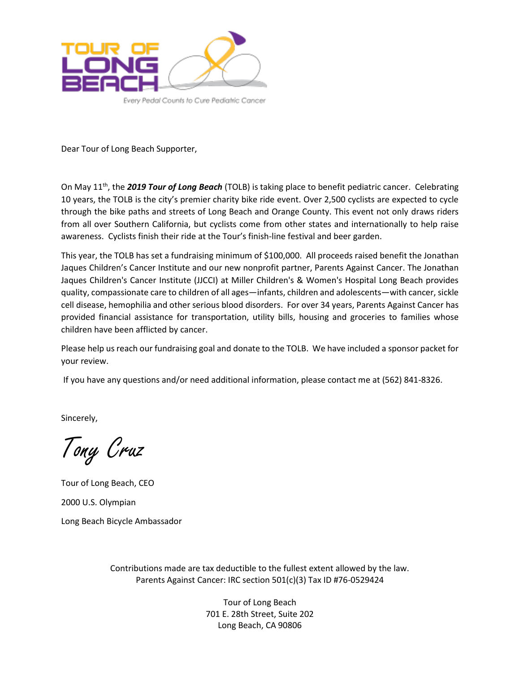

Dear Tour of Long Beach Supporter,

On May 11th, the *2019 Tour of Long Beach* (TOLB) is taking place to benefit pediatric cancer. Celebrating 10 years, the TOLB is the city's premier charity bike ride event. Over 2,500 cyclists are expected to cycle through the bike paths and streets of Long Beach and Orange County. This event not only draws riders from all over Southern California, but cyclists come from other states and internationally to help raise awareness. Cyclists finish their ride at the Tour's finish-line festival and beer garden.

This year, the TOLB has set a fundraising minimum of \$100,000. All proceeds raised benefit the Jonathan Jaques Children's Cancer Institute and our new nonprofit partner, Parents Against Cancer. The Jonathan Jaques Children's Cancer Institute (JJCCI) at Miller Children's & Women's Hospital Long Beach provides quality, compassionate care to children of all ages—infants, children and adolescents—with cancer, sickle cell disease, hemophilia and other serious blood disorders. For over 34 years, Parents Against Cancer has provided financial assistance for transportation, utility bills, housing and groceries to families whose children have been afflicted by cancer.

Please help us reach our fundraising goal and donate to the TOLB. We have included a sponsor packet for your review.

If you have any questions and/or need additional information, please contact me at (562) 841-8326.

Sincerely,

Tony Cruz

Tour of Long Beach, CEO 2000 U.S. Olympian Long Beach Bicycle Ambassador

> Contributions made are tax deductible to the fullest extent allowed by the law. Parents Against Cancer: IRC section 501(c)(3) Tax ID #76-0529424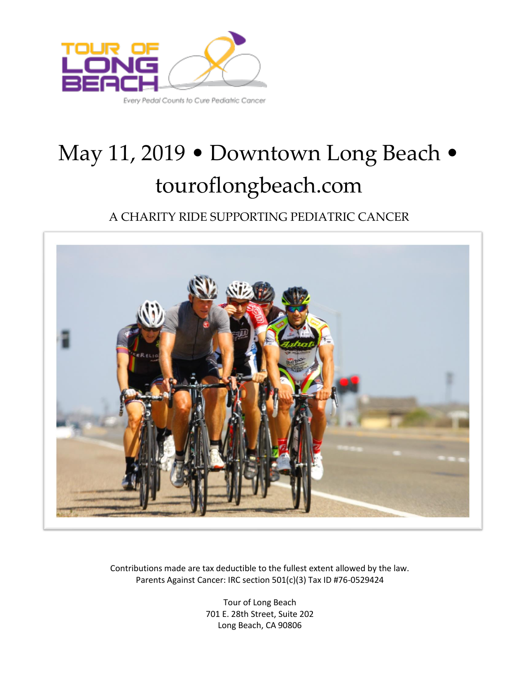

# May 11, 2019 • Downtown Long Beach • touroflongbeach.com

A CHARITY RIDE SUPPORTING PEDIATRIC CANCER



Contributions made are tax deductible to the fullest extent allowed by the law. Parents Against Cancer: IRC section 501(c)(3) Tax ID #76-0529424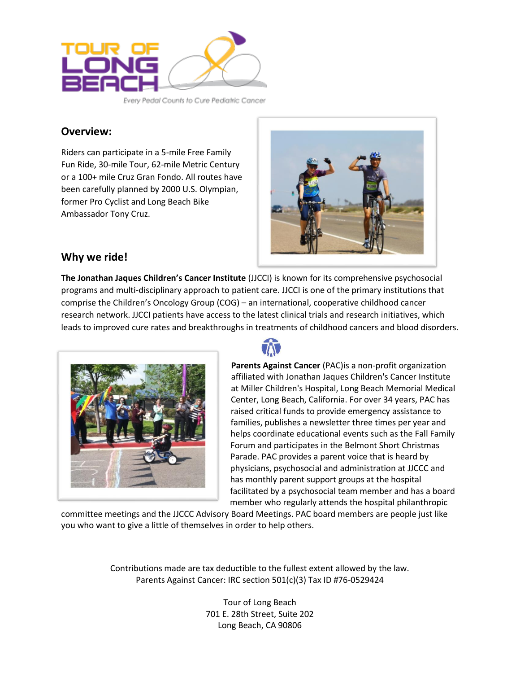

Every Pedal Counts to Cure Pediatric Cancer

#### **Overview:**

Riders can participate in a 5-mile Free Family Fun Ride, 30-mile Tour, 62-mile Metric Century or a 100+ mile Cruz Gran Fondo. All routes have been carefully planned by 2000 U.S. Olympian, former Pro Cyclist and Long Beach Bike Ambassador Tony Cruz.



### **Why we ride!**

**The Jonathan Jaques Children's Cancer Institute** (JJCCI) is known for its comprehensive psychosocial programs and multi-disciplinary approach to patient care. JJCCI is one of the primary institutions that comprise the Children's Oncology Group (COG) – an international, cooperative childhood cancer research network. JJCCI patients have access to the latest clinical trials and research initiatives, which leads to improved cure rates and breakthroughs in treatments of childhood cancers and blood disorders.





**Parents Against Cancer** (PAC)is a non-profit organization affiliated wit[h Jonathan Jaques Children's Cancer](http://www.parentsagainstcancer.com/jjccc.htm) Institute at Miller Children's Hospital, Long Beach Memorial Medical Center, Long Beach, California. For over 34 years, PAC has raised critical funds to provide emergency assistance to families, publishes a newsletter three times per year and helps coordinate educational events such as the Fall Family Forum and participates in the Belmont Short Christmas Parade. PAC provides a parent voice that is heard by physicians, psychosocial and administration at JJCCC and has monthly parent support groups at the hospital facilitated by a psychosocial team member and has a board member who regularly attends the hospital philanthropic

committee meetings and the JJCCC Advisory Board Meetings. PAC board members are people just like you who want to give a little of themselves in order to help others.

> Contributions made are tax deductible to the fullest extent allowed by the law. Parents Against Cancer: IRC section 501(c)(3) Tax ID #76-0529424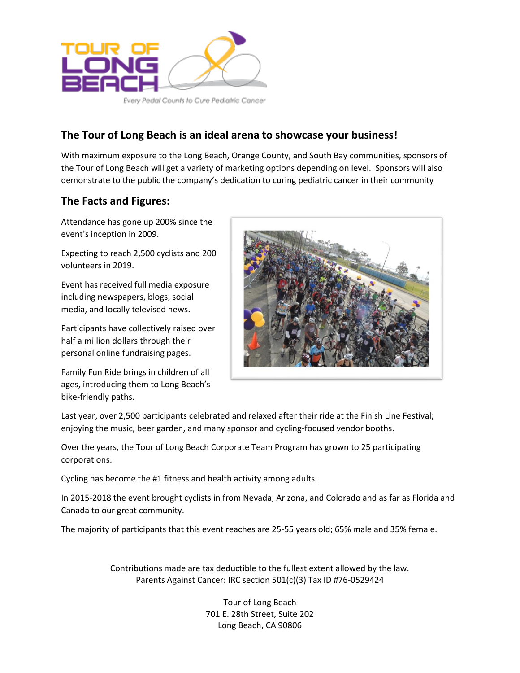

#### **The Tour of Long Beach is an ideal arena to showcase your business!**

With maximum exposure to the Long Beach, Orange County, and South Bay communities, sponsors of the Tour of Long Beach will get a variety of marketing options depending on level. Sponsors will also demonstrate to the public the company's dedication to curing pediatric cancer in their community

#### **The Facts and Figures:**

Attendance has gone up 200% since the event's inception in 2009.

Expecting to reach 2,500 cyclists and 200 volunteers in 2019.

Event has received full media exposure including newspapers, blogs, social media, and locally televised news.

Participants have collectively raised over half a million dollars through their personal online fundraising pages.

Family Fun Ride brings in children of all ages, introducing them to Long Beach's bike-friendly paths.



Last year, over 2,500 participants celebrated and relaxed after their ride at the Finish Line Festival; enjoying the music, beer garden, and many sponsor and cycling-focused vendor booths.

Over the years, the Tour of Long Beach Corporate Team Program has grown to 25 participating corporations.

Cycling has become the #1 fitness and health activity among adults.

In 2015-2018 the event brought cyclists in from Nevada, Arizona, and Colorado and as far as Florida and Canada to our great community.

The majority of participants that this event reaches are 25-55 years old; 65% male and 35% female.

Contributions made are tax deductible to the fullest extent allowed by the law. Parents Against Cancer: IRC section 501(c)(3) Tax ID #76-0529424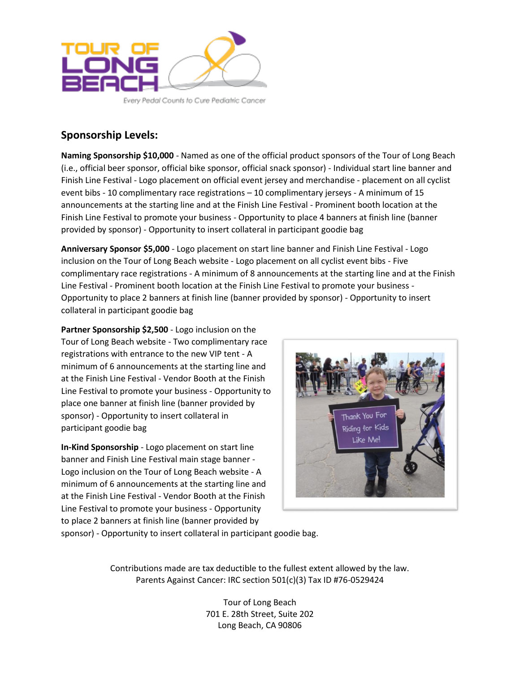

Every Pedal Counts to Cure Pediatric Cancer

## **Sponsorship Levels:**

**Naming Sponsorship \$10,000** - Named as one of the official product sponsors of the Tour of Long Beach (i.e., official beer sponsor, official bike sponsor, official snack sponsor) - Individual start line banner and Finish Line Festival - Logo placement on official event jersey and merchandise - placement on all cyclist event bibs - 10 complimentary race registrations – 10 complimentary jerseys - A minimum of 15 announcements at the starting line and at the Finish Line Festival - Prominent booth location at the Finish Line Festival to promote your business - Opportunity to place 4 banners at finish line (banner provided by sponsor) - Opportunity to insert collateral in participant goodie bag

**Anniversary Sponsor \$5,000** - Logo placement on start line banner and Finish Line Festival - Logo inclusion on the Tour of Long Beach website - Logo placement on all cyclist event bibs - Five complimentary race registrations - A minimum of 8 announcements at the starting line and at the Finish Line Festival - Prominent booth location at the Finish Line Festival to promote your business - Opportunity to place 2 banners at finish line (banner provided by sponsor) - Opportunity to insert collateral in participant goodie bag

**Partner Sponsorship \$2,500** - Logo inclusion on the Tour of Long Beach website - Two complimentary race registrations with entrance to the new VIP tent - A minimum of 6 announcements at the starting line and at the Finish Line Festival - Vendor Booth at the Finish Line Festival to promote your business - Opportunity to place one banner at finish line (banner provided by sponsor) - Opportunity to insert collateral in participant goodie bag

**In-Kind Sponsorship** - Logo placement on start line banner and Finish Line Festival main stage banner - Logo inclusion on the Tour of Long Beach website - A minimum of 6 announcements at the starting line and at the Finish Line Festival - Vendor Booth at the Finish Line Festival to promote your business - Opportunity to place 2 banners at finish line (banner provided by



sponsor) - Opportunity to insert collateral in participant goodie bag.

Contributions made are tax deductible to the fullest extent allowed by the law. Parents Against Cancer: IRC section 501(c)(3) Tax ID #76-0529424